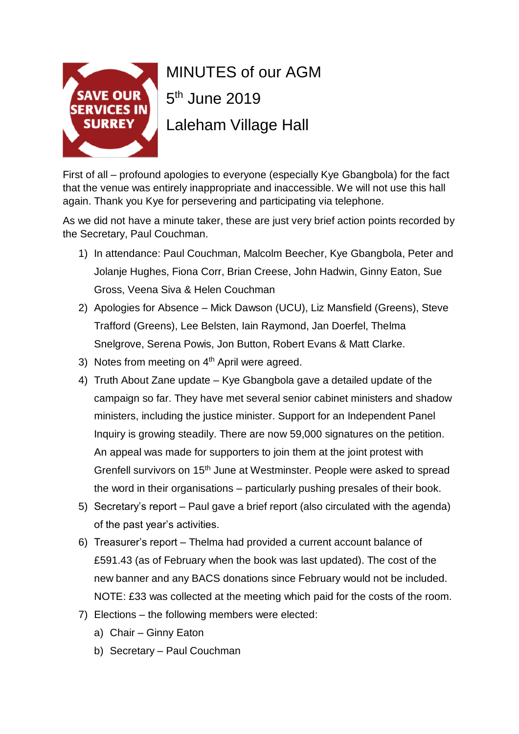

## MINUTES of our AGM 5<sup>th</sup> June 2019 Laleham Village Hall

First of all – profound apologies to everyone (especially Kye Gbangbola) for the fact that the venue was entirely inappropriate and inaccessible. We will not use this hall again. Thank you Kye for persevering and participating via telephone.

As we did not have a minute taker, these are just very brief action points recorded by the Secretary, Paul Couchman.

- 1) In attendance: Paul Couchman, Malcolm Beecher, Kye Gbangbola, Peter and Jolanje Hughes, Fiona Corr, Brian Creese, John Hadwin, Ginny Eaton, Sue Gross, Veena Siva & Helen Couchman
- 2) Apologies for Absence Mick Dawson (UCU), Liz Mansfield (Greens), Steve Trafford (Greens), Lee Belsten, Iain Raymond, Jan Doerfel, Thelma Snelgrove, Serena Powis, Jon Button, Robert Evans & Matt Clarke.
- 3) Notes from meeting on  $4<sup>th</sup>$  April were agreed.
- 4) Truth About Zane update Kye Gbangbola gave a detailed update of the campaign so far. They have met several senior cabinet ministers and shadow ministers, including the justice minister. Support for an Independent Panel Inquiry is growing steadily. There are now 59,000 signatures on the petition. An appeal was made for supporters to join them at the joint protest with Grenfell survivors on 15<sup>th</sup> June at Westminster. People were asked to spread the word in their organisations – particularly pushing presales of their book.
- 5) Secretary's report Paul gave a brief report (also circulated with the agenda) of the past year's activities.
- 6) Treasurer's report Thelma had provided a current account balance of £591.43 (as of February when the book was last updated). The cost of the new banner and any BACS donations since February would not be included. NOTE: £33 was collected at the meeting which paid for the costs of the room.
- 7) Elections the following members were elected:
	- a) Chair Ginny Eaton
	- b) Secretary Paul Couchman